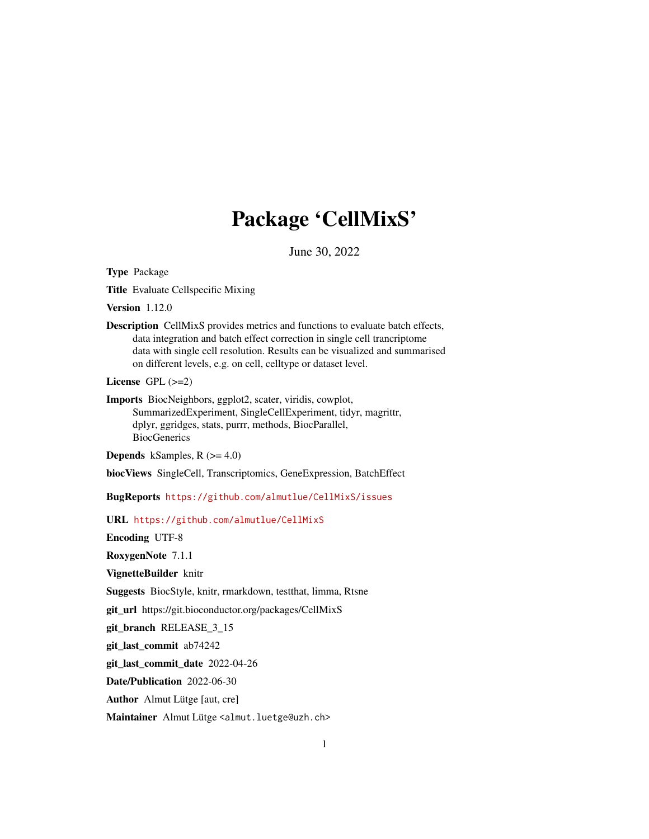# Package 'CellMixS'

June 30, 2022

<span id="page-0-0"></span>Type Package

Title Evaluate Cellspecific Mixing

Version 1.12.0

Description CellMixS provides metrics and functions to evaluate batch effects, data integration and batch effect correction in single cell trancriptome data with single cell resolution. Results can be visualized and summarised on different levels, e.g. on cell, celltype or dataset level.

License  $GPL$  ( $>=2$ )

Imports BiocNeighbors, ggplot2, scater, viridis, cowplot, SummarizedExperiment, SingleCellExperiment, tidyr, magrittr, dplyr, ggridges, stats, purrr, methods, BiocParallel, BiocGenerics

**Depends** kSamples,  $R$  ( $>= 4.0$ )

biocViews SingleCell, Transcriptomics, GeneExpression, BatchEffect

BugReports <https://github.com/almutlue/CellMixS/issues>

URL <https://github.com/almutlue/CellMixS>

Encoding UTF-8

RoxygenNote 7.1.1

VignetteBuilder knitr

Suggests BiocStyle, knitr, rmarkdown, testthat, limma, Rtsne

git\_url https://git.bioconductor.org/packages/CellMixS

git\_branch RELEASE\_3\_15

git\_last\_commit ab74242

git\_last\_commit\_date 2022-04-26

Date/Publication 2022-06-30

Author Almut Lütge [aut, cre]

Maintainer Almut Lütge <almut.luetge@uzh.ch>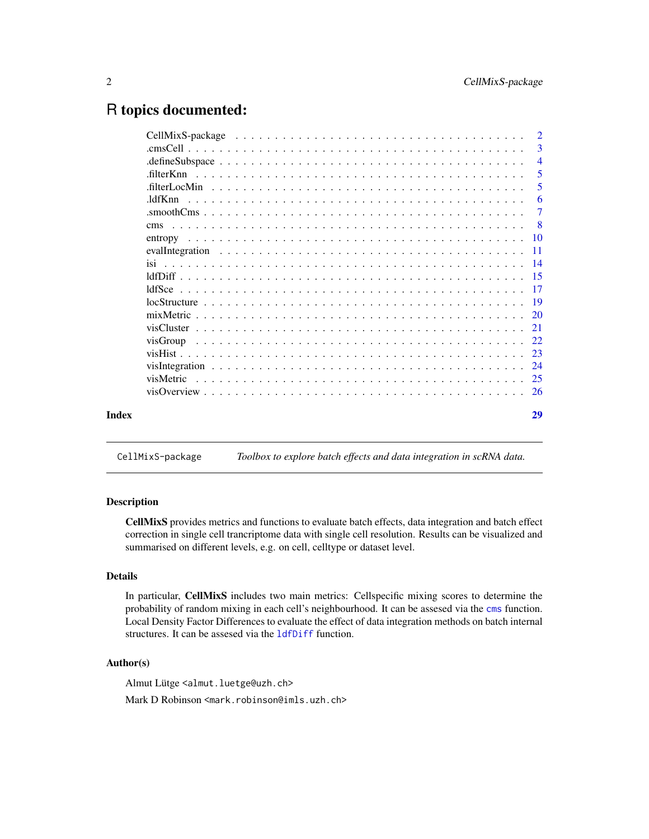## <span id="page-1-0"></span>R topics documented:

|       |                | $\overline{2}$ |
|-------|----------------|----------------|
|       |                | 3              |
|       |                | $\overline{4}$ |
|       | .filterKnn     | 5              |
|       |                | 5              |
|       |                | -6             |
|       |                | 7              |
|       | <sub>cms</sub> | - 8            |
|       |                |                |
|       |                |                |
|       |                |                |
|       |                |                |
|       |                |                |
|       |                |                |
|       |                |                |
|       |                |                |
|       |                |                |
|       |                |                |
|       |                | 24             |
|       | visMetric      |                |
|       |                |                |
| Index |                | 29             |

CellMixS-package *Toolbox to explore batch effects and data integration in scRNA data.*

## Description

CellMixS provides metrics and functions to evaluate batch effects, data integration and batch effect correction in single cell trancriptome data with single cell resolution. Results can be visualized and summarised on different levels, e.g. on cell, celltype or dataset level.

## Details

In particular, CellMixS includes two main metrics: Cellspecific mixing scores to determine the probability of random mixing in each cell's neighbourhood. It can be assesed via the [cms](#page-7-1) function. Local Density Factor Differences to evaluate the effect of data integration methods on batch internal structures. It can be assesed via the [ldfDiff](#page-14-1) function.

## Author(s)

Almut Lütge <almut.luetge@uzh.ch>

Mark D Robinson <mark.robinson@imls.uzh.ch>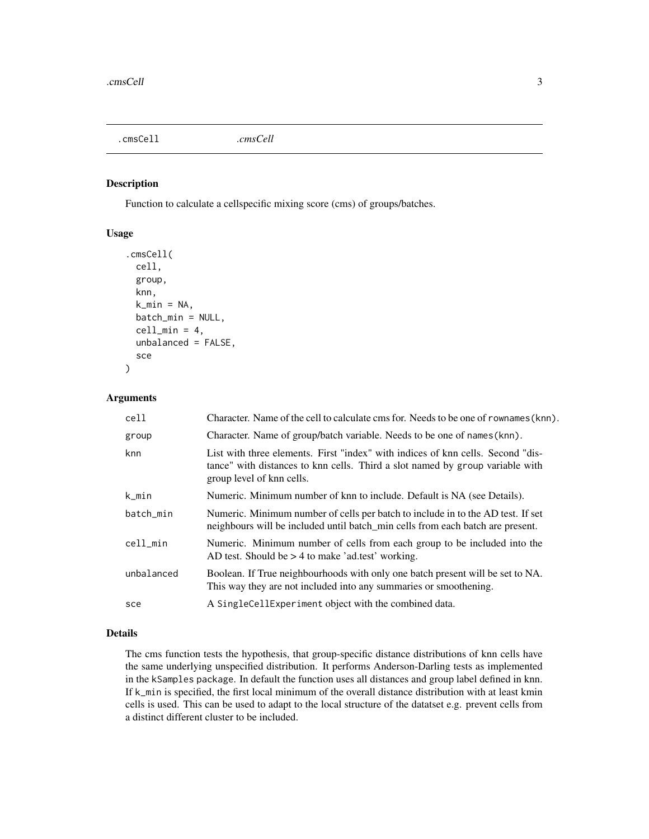<span id="page-2-1"></span><span id="page-2-0"></span>.cmsCell *.cmsCell*

## Description

Function to calculate a cellspecific mixing score (cms) of groups/batches.

## Usage

```
.cmsCell(
 cell,
  group,
 knn,
  k_{min} = NA,batch_min = NULL,
  cell\_min = 4,
  unbalanced = FALSE,
  sce
)
```
## Arguments

| cell       | Character. Name of the cell to calculate cms for. Needs to be one of rownames (knn).                                                                                                          |
|------------|-----------------------------------------------------------------------------------------------------------------------------------------------------------------------------------------------|
| group      | Character. Name of group/batch variable. Needs to be one of names (knn).                                                                                                                      |
| knn        | List with three elements. First "index" with indices of knn cells. Second "dis-<br>tance" with distances to knn cells. Third a slot named by group variable with<br>group level of knn cells. |
| k_min      | Numeric. Minimum number of knn to include. Default is NA (see Details).                                                                                                                       |
| batch_min  | Numeric. Minimum number of cells per batch to include in to the AD test. If set<br>neighbours will be included until batch min cells from each batch are present.                             |
| cell_min   | Numeric. Minimum number of cells from each group to be included into the<br>AD test. Should be $> 4$ to make 'ad.test' working.                                                               |
| unbalanced | Boolean. If True neighbourhoods with only one batch present will be set to NA.<br>This way they are not included into any summaries or smoothening.                                           |
| sce        | A SingleCellExperiment object with the combined data.                                                                                                                                         |

## Details

The cms function tests the hypothesis, that group-specific distance distributions of knn cells have the same underlying unspecified distribution. It performs Anderson-Darling tests as implemented in the kSamples package. In default the function uses all distances and group label defined in knn. If k\_min is specified, the first local minimum of the overall distance distribution with at least kmin cells is used. This can be used to adapt to the local structure of the datatset e.g. prevent cells from a distinct different cluster to be included.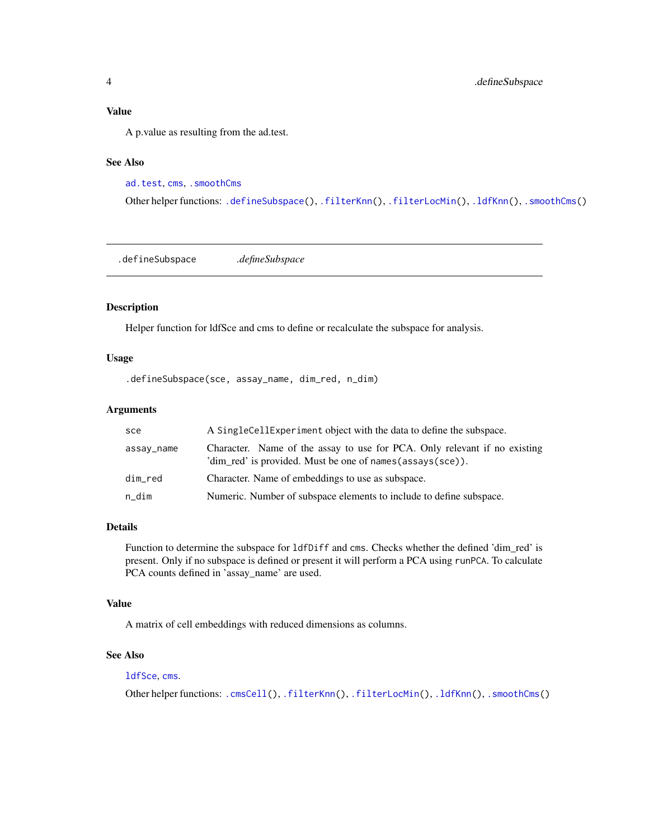#### <span id="page-3-0"></span>Value

A p.value as resulting from the ad.test.

## See Also

[ad.test](#page-0-0), [cms](#page-7-1), [.smoothCms](#page-6-1)

Other helper functions: [.defineSubspace\(](#page-3-1)), [.filterKnn\(](#page-4-1)), [.filterLocMin\(](#page-4-2)), [.ldfKnn\(](#page-5-1)), [.smoothCms\(](#page-6-1))

<span id="page-3-1"></span>.defineSubspace *.defineSubspace*

#### Description

Helper function for ldfSce and cms to define or recalculate the subspace for analysis.

#### Usage

.defineSubspace(sce, assay\_name, dim\_red, n\_dim)

## Arguments

| sce        | A SingleCellExperiment object with the data to define the subspace.                                                                      |
|------------|------------------------------------------------------------------------------------------------------------------------------------------|
| assay_name | Character. Name of the assay to use for PCA. Only relevant if no existing<br>'dim red' is provided. Must be one of names (assays (sce)). |
| dim_red    | Character. Name of embeddings to use as subspace.                                                                                        |
| n_dim      | Numeric. Number of subspace elements to include to define subspace.                                                                      |

## Details

Function to determine the subspace for ldfDiff and cms. Checks whether the defined 'dim\_red' is present. Only if no subspace is defined or present it will perform a PCA using runPCA. To calculate PCA counts defined in 'assay\_name' are used.

#### Value

A matrix of cell embeddings with reduced dimensions as columns.

## See Also

## [ldfSce](#page-16-1), [cms](#page-7-1).

Other helper functions: [.cmsCell\(](#page-2-1)), [.filterKnn\(](#page-4-1)), [.filterLocMin\(](#page-4-2)), [.ldfKnn\(](#page-5-1)), [.smoothCms\(](#page-6-1))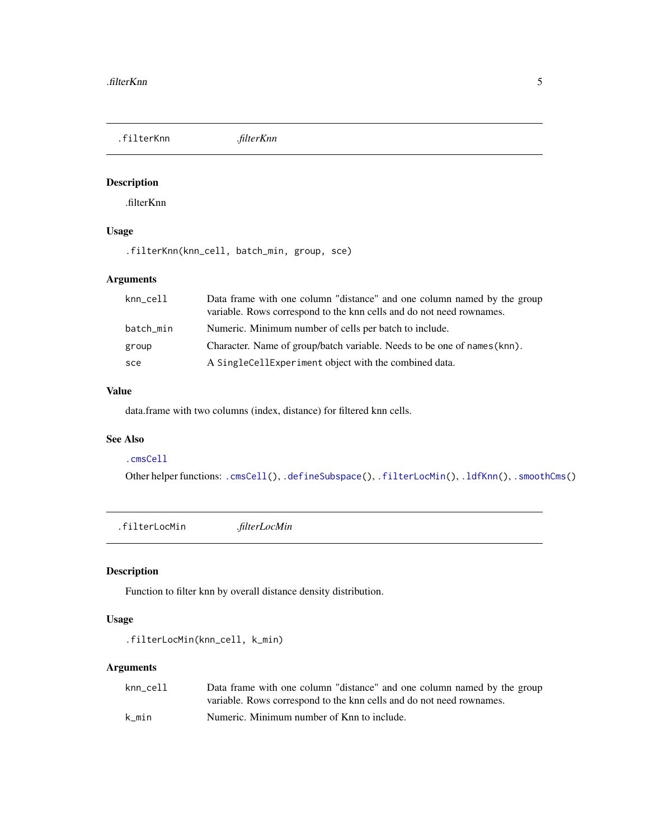<span id="page-4-1"></span><span id="page-4-0"></span>.filterKnn *.filterKnn*

## Description

.filterKnn

## Usage

.filterKnn(knn\_cell, batch\_min, group, sce)

## Arguments

| knn_cell  | Data frame with one column "distance" and one column named by the group<br>variable. Rows correspond to the knn cells and do not need rownames. |
|-----------|-------------------------------------------------------------------------------------------------------------------------------------------------|
| batch_min | Numeric. Minimum number of cells per batch to include.                                                                                          |
| group     | Character. Name of group/batch variable. Needs to be one of names (knn).                                                                        |
| sce       | A SingleCellExperiment object with the combined data.                                                                                           |

## Value

data.frame with two columns (index, distance) for filtered knn cells.

#### See Also

#### [.cmsCell](#page-2-1)

Other helper functions: [.cmsCell\(](#page-2-1)), [.defineSubspace\(](#page-3-1)), [.filterLocMin\(](#page-4-2)), [.ldfKnn\(](#page-5-1)), [.smoothCms\(](#page-6-1))

<span id="page-4-2"></span>.filterLocMin *.filterLocMin*

## Description

Function to filter knn by overall distance density distribution.

### Usage

```
.filterLocMin(knn_cell, k_min)
```

| knn cell | Data frame with one column "distance" and one column named by the group |
|----------|-------------------------------------------------------------------------|
|          | variable. Rows correspond to the knn cells and do not need rownames.    |
| k min    | Numeric. Minimum number of Knn to include.                              |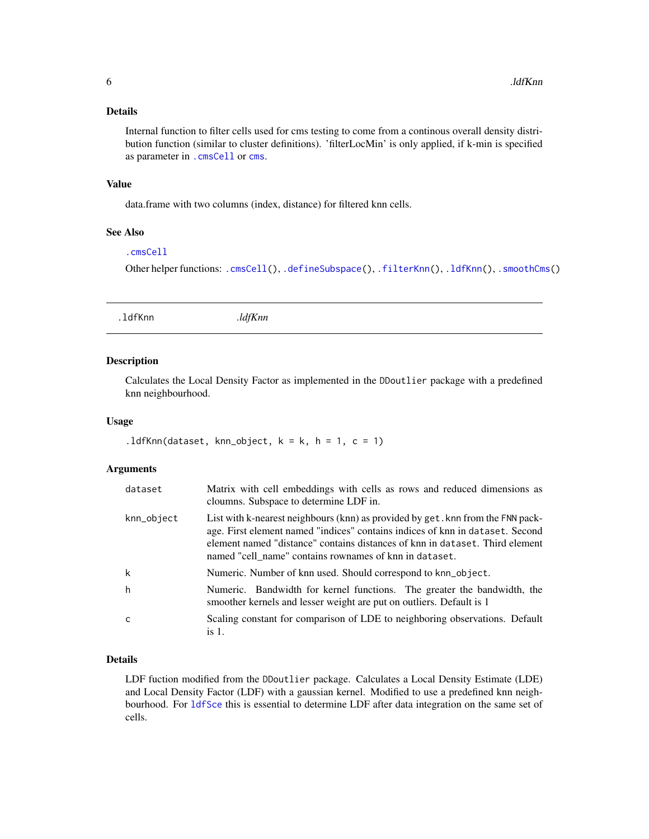<span id="page-5-0"></span>Internal function to filter cells used for cms testing to come from a continous overall density distribution function (similar to cluster definitions). 'filterLocMin' is only applied, if k-min is specified as parameter in [.cmsCell](#page-2-1) or [cms](#page-7-1).

#### Value

data.frame with two columns (index, distance) for filtered knn cells.

## See Also

### [.cmsCell](#page-2-1)

Other helper functions: [.cmsCell\(](#page-2-1)), [.defineSubspace\(](#page-3-1)), [.filterKnn\(](#page-4-1)), [.ldfKnn\(](#page-5-1)), [.smoothCms\(](#page-6-1))

<span id="page-5-1"></span>.ldfKnn *.ldfKnn*

#### Description

Calculates the Local Density Factor as implemented in the DDoutlier package with a predefined knn neighbourhood.

#### Usage

```
.1dfKnn(dataset, knn_object, k = k, h = 1, c = 1)
```
#### Arguments

| dataset    | Matrix with cell embeddings with cells as rows and reduced dimensions as<br>cloumns. Subspace to determine LDF in.                                                                                                                                                                                         |
|------------|------------------------------------------------------------------------------------------------------------------------------------------------------------------------------------------------------------------------------------------------------------------------------------------------------------|
| knn_object | List with k-nearest neighbours (knn) as provided by get. knn from the FNN pack-<br>age. First element named "indices" contains indices of knn in dataset. Second<br>element named "distance" contains distances of knn in dataset. Third element<br>named "cell_name" contains rownames of knn in dataset. |
| k          | Numeric. Number of knn used. Should correspond to knn_object.                                                                                                                                                                                                                                              |
| h          | Numeric. Bandwidth for kernel functions. The greater the bandwidth, the<br>smoother kernels and lesser weight are put on outliers. Default is 1                                                                                                                                                            |
| C          | Scaling constant for comparison of LDE to neighboring observations. Default<br>is 1.                                                                                                                                                                                                                       |

### Details

LDF fuction modified from the DDoutlier package. Calculates a Local Density Estimate (LDE) and Local Density Factor (LDF) with a gaussian kernel. Modified to use a predefined knn neighbourhood. For [ldfSce](#page-16-1) this is essential to determine LDF after data integration on the same set of cells.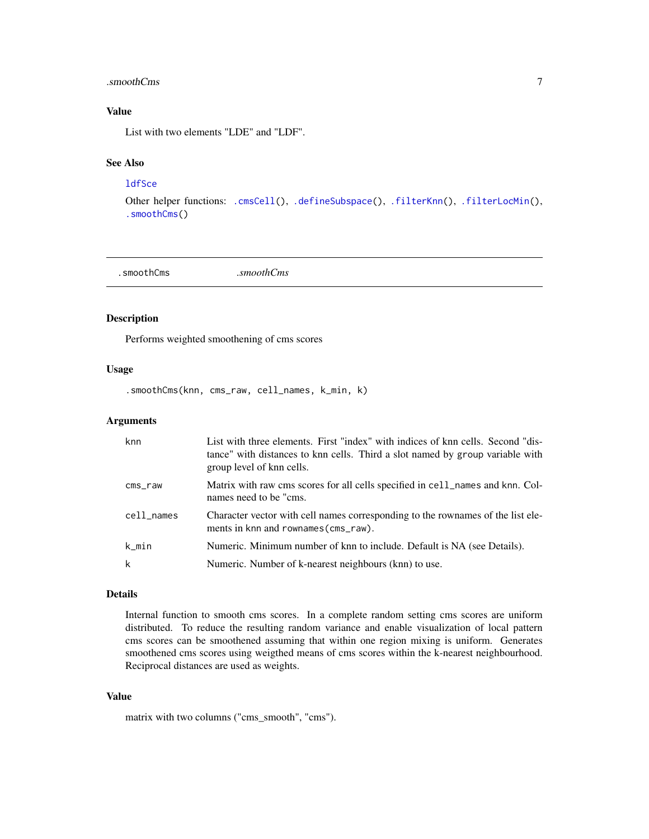#### <span id="page-6-0"></span>.smoothCms 7

## Value

List with two elements "LDE" and "LDF".

## See Also

## **[ldfSce](#page-16-1)**

Other helper functions: [.cmsCell\(](#page-2-1)), [.defineSubspace\(](#page-3-1)), [.filterKnn\(](#page-4-1)), [.filterLocMin\(](#page-4-2)), [.smoothCms\(](#page-6-1))

<span id="page-6-1"></span>.smoothCms *.smoothCms*

#### Description

Performs weighted smoothening of cms scores

#### Usage

.smoothCms(knn, cms\_raw, cell\_names, k\_min, k)

#### Arguments

| knn        | List with three elements. First "index" with indices of knn cells. Second "dis-<br>tance" with distances to knn cells. Third a slot named by group variable with<br>group level of knn cells. |
|------------|-----------------------------------------------------------------------------------------------------------------------------------------------------------------------------------------------|
| $cms$ _raw | Matrix with raw cms scores for all cells specified in cell_names and knn. Col-<br>names need to be "cms.                                                                                      |
| cell_names | Character vector with cell names corresponding to the rownames of the list ele-<br>ments in knn and rownames (cms_raw).                                                                       |
| k_min      | Numeric. Minimum number of knn to include. Default is NA (see Details).                                                                                                                       |
| k          | Numeric. Number of k-nearest neighbours (knn) to use.                                                                                                                                         |

### Details

Internal function to smooth cms scores. In a complete random setting cms scores are uniform distributed. To reduce the resulting random variance and enable visualization of local pattern cms scores can be smoothened assuming that within one region mixing is uniform. Generates smoothened cms scores using weigthed means of cms scores within the k-nearest neighbourhood. Reciprocal distances are used as weights.

#### Value

matrix with two columns ("cms\_smooth", "cms").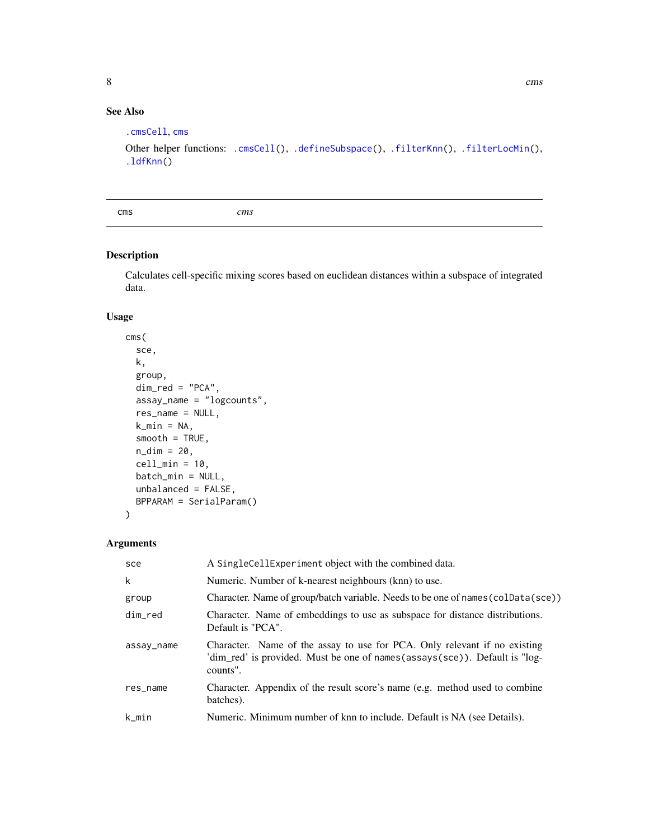## See Also

```
.cmsCell, cms
.cmsCell(.defineSubspace(.filterKnn(.filterLocMin(),
.ldfKnn()
```
<span id="page-7-1"></span>cms *cms*

#### Description

Calculates cell-specific mixing scores based on euclidean distances within a subspace of integrated data.

## Usage

```
cms(
  sce,
 k,
  group,
  dim\_red = "PCA",assay_name = "logcounts",
  res_name = NULL,
 k_{min} = NA,smooth = TRUE,n\_dim = 20,
  cell\_min = 10,batch_min = NULL,
 unbalanced = FALSE,
 BPPARAM = SerialParam()
)
```
## Arguments

| sce        | A SingleCellExperiment object with the combined data.                                                                                                               |
|------------|---------------------------------------------------------------------------------------------------------------------------------------------------------------------|
| k          | Numeric. Number of k-nearest neighbours (knn) to use.                                                                                                               |
| group      | Character. Name of group/batch variable. Needs to be one of names (colData(sce))                                                                                    |
| dim_red    | Character. Name of embeddings to use as subspace for distance distributions.<br>Default is "PCA".                                                                   |
| assay_name | Character. Name of the assay to use for PCA. Only relevant if no existing<br>'dim_red' is provided. Must be one of names(assays(sce)). Default is "log-<br>counts". |
| res_name   | Character. Appendix of the result score's name (e.g. method used to combine<br>batches).                                                                            |
| k min      | Numeric. Minimum number of knn to include. Default is NA (see Details).                                                                                             |

<span id="page-7-0"></span>8 cms constructed by the construction of the construction of the construction of the construction of the construction of the construction of the construction of the construction of the construction of the construction of t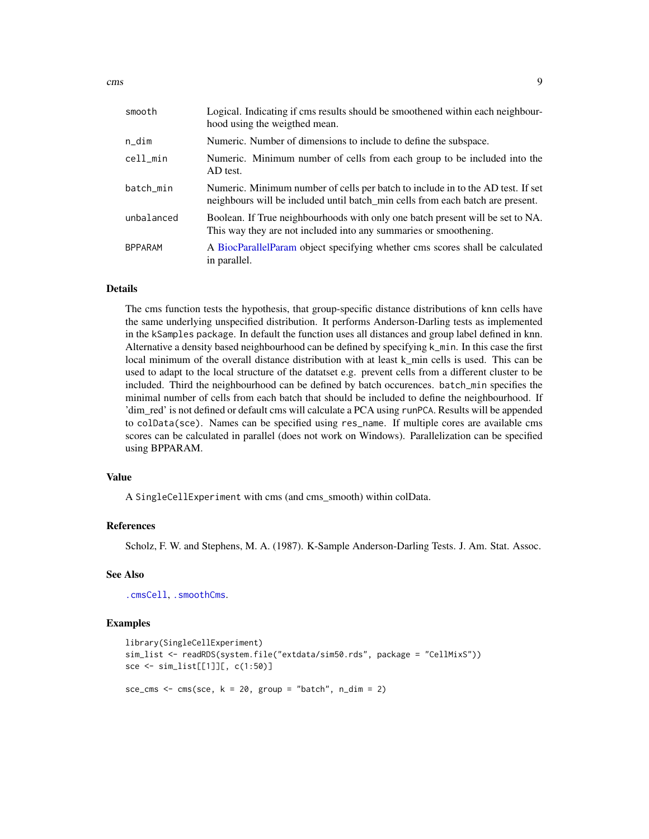<span id="page-8-0"></span>

| smooth         | Logical. Indicating if cms results should be smoothened within each neighbour-<br>hood using the weigthed mean.                                                   |
|----------------|-------------------------------------------------------------------------------------------------------------------------------------------------------------------|
| n_dim          | Numeric. Number of dimensions to include to define the subspace.                                                                                                  |
| cell_min       | Numeric. Minimum number of cells from each group to be included into the<br>AD test.                                                                              |
| batch_min      | Numeric. Minimum number of cells per batch to include in to the AD test. If set<br>neighbours will be included until batch min cells from each batch are present. |
| unbalanced     | Boolean. If True neighbourhoods with only one batch present will be set to NA.<br>This way they are not included into any summaries or smoothening.               |
| <b>BPPARAM</b> | A BiocParallelParam object specifying whether cms scores shall be calculated<br>in parallel.                                                                      |

The cms function tests the hypothesis, that group-specific distance distributions of knn cells have the same underlying unspecified distribution. It performs Anderson-Darling tests as implemented in the kSamples package. In default the function uses all distances and group label defined in knn. Alternative a density based neighbourhood can be defined by specifying k\_min. In this case the first local minimum of the overall distance distribution with at least k\_min cells is used. This can be used to adapt to the local structure of the datatset e.g. prevent cells from a different cluster to be included. Third the neighbourhood can be defined by batch occurences. batch\_min specifies the minimal number of cells from each batch that should be included to define the neighbourhood. If 'dim\_red' is not defined or default cms will calculate a PCA using runPCA. Results will be appended to colData(sce). Names can be specified using res\_name. If multiple cores are available cms scores can be calculated in parallel (does not work on Windows). Parallelization can be specified using BPPARAM.

## Value

A SingleCellExperiment with cms (and cms\_smooth) within colData.

#### References

Scholz, F. W. and Stephens, M. A. (1987). K-Sample Anderson-Darling Tests. J. Am. Stat. Assoc.

## See Also

[.cmsCell](#page-2-1), [.smoothCms](#page-6-1).

#### Examples

```
library(SingleCellExperiment)
sim_list <- readRDS(system.file("extdata/sim50.rds", package = "CellMixS"))
sce <- sim_list[[1]][, c(1:50)]
sce_cms \leq - cms(sce, k = 20, group = "batch", n_dim = 2)
```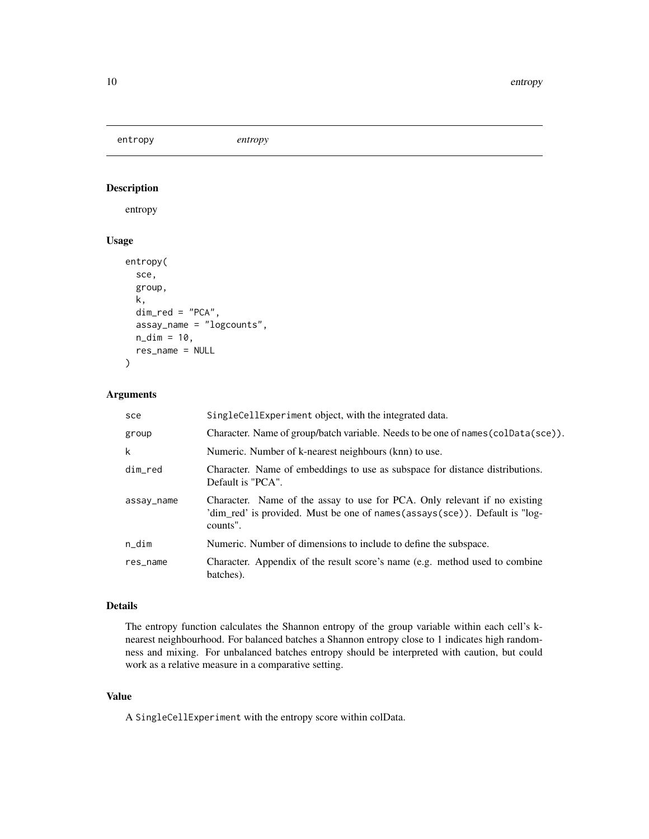<span id="page-9-1"></span><span id="page-9-0"></span>entropy *entropy*

## Description

entropy

## Usage

```
entropy(
  sce,
  group,
 k,
  dim\_red = "PCA",assay_name = "logcounts",
 n\_dim = 10,
  res_name = NULL
)
```
## Arguments

| sce        | SingleCellExperiment object, with the integrated data.                                                                                                                |
|------------|-----------------------------------------------------------------------------------------------------------------------------------------------------------------------|
| group      | Character. Name of group/batch variable. Needs to be one of names (colData(sce)).                                                                                     |
| k          | Numeric. Number of k-nearest neighbours (knn) to use.                                                                                                                 |
| dim_red    | Character. Name of embeddings to use as subspace for distance distributions.<br>Default is "PCA".                                                                     |
| assay_name | Character. Name of the assay to use for PCA. Only relevant if no existing<br>'dim_red' is provided. Must be one of names (assays (sce)). Default is "log-<br>counts". |
| $n\_dim$   | Numeric. Number of dimensions to include to define the subspace.                                                                                                      |
| res_name   | Character. Appendix of the result score's name (e.g. method used to combine<br>batches).                                                                              |

## Details

The entropy function calculates the Shannon entropy of the group variable within each cell's knearest neighbourhood. For balanced batches a Shannon entropy close to 1 indicates high randomness and mixing. For unbalanced batches entropy should be interpreted with caution, but could work as a relative measure in a comparative setting.

#### Value

A SingleCellExperiment with the entropy score within colData.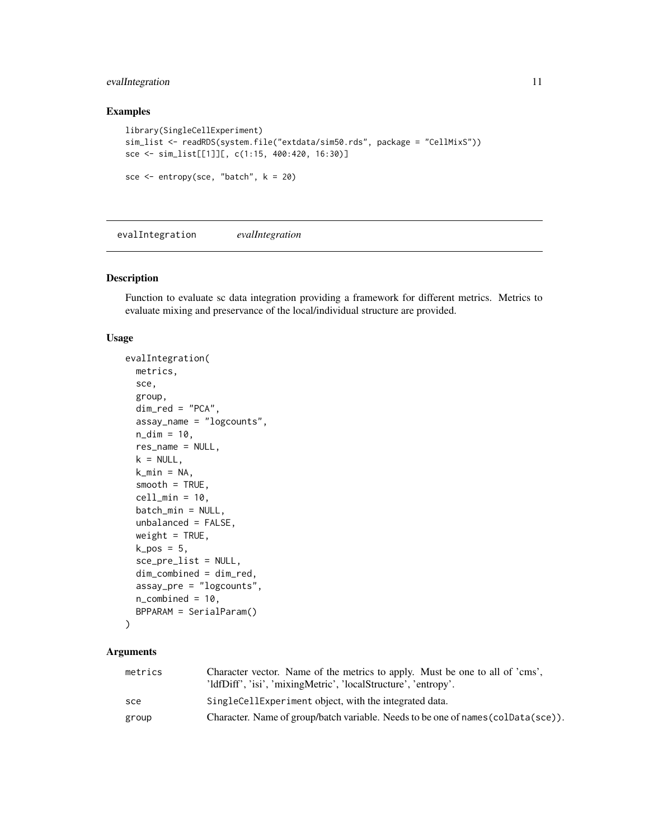## <span id="page-10-0"></span>evalIntegration 11

## Examples

```
library(SingleCellExperiment)
sim_list <- readRDS(system.file("extdata/sim50.rds", package = "CellMixS"))
sce <- sim_list[[1]][, c(1:15, 400:420, 16:30)]
sce \leq entropy(sce, "batch", k = 20)
```
evalIntegration *evalIntegration*

## Description

Function to evaluate sc data integration providing a framework for different metrics. Metrics to evaluate mixing and preservance of the local/individual structure are provided.

#### Usage

```
evalIntegration(
 metrics,
  sce,
  group,
  dim_red = "PCA",
  assay_name = "logcounts",
  n\_dim = 10,
  res_name = NULL,
  k = NULL,k_{min} = NA,smooth = TRUE,
  cell\_min = 10,
  batch_min = NULL,
  unbalanced = FALSE,
  weight = TRUE,k_pos = 5,
  sce_pre_list = NULL,
  dim_combined = dim_red,
  assay_pre = "logcounts",
  n_{\text{combined}} = 10,
 BPPARAM = SerialParam()
```

```
\mathcal{L}
```

| metrics | Character vector. Name of the metrics to apply. Must be one to all of 'cms',<br>'ldfDiff', 'isi', 'mixingMetric', 'localStructure', 'entropy'. |
|---------|------------------------------------------------------------------------------------------------------------------------------------------------|
| sce     | SingleCellExperiment object, with the integrated data.                                                                                         |
| group   | Character. Name of group/batch variable. Needs to be one of names (coldata (sce)).                                                             |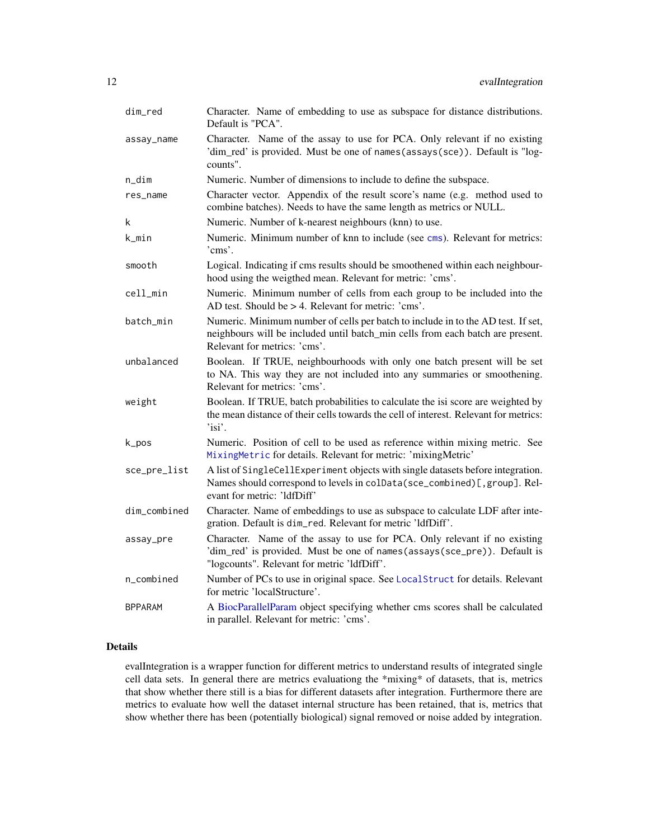<span id="page-11-0"></span>

| dim_red        | Character. Name of embedding to use as subspace for distance distributions.<br>Default is "PCA".                                                                                                     |
|----------------|------------------------------------------------------------------------------------------------------------------------------------------------------------------------------------------------------|
| assay_name     | Character. Name of the assay to use for PCA. Only relevant if no existing<br>'dim_red' is provided. Must be one of names(assays(sce)). Default is "log-<br>counts".                                  |
| n_dim          | Numeric. Number of dimensions to include to define the subspace.                                                                                                                                     |
| res_name       | Character vector. Appendix of the result score's name (e.g. method used to<br>combine batches). Needs to have the same length as metrics or NULL.                                                    |
| k              | Numeric. Number of k-nearest neighbours (knn) to use.                                                                                                                                                |
| k_min          | Numeric. Minimum number of knn to include (see cms). Relevant for metrics:<br>'cms'.                                                                                                                 |
| smooth         | Logical. Indicating if cms results should be smoothened within each neighbour-<br>hood using the weigthed mean. Relevant for metric: 'cms'.                                                          |
| cell_min       | Numeric. Minimum number of cells from each group to be included into the<br>AD test. Should be $> 4$ . Relevant for metric: 'cms'.                                                                   |
| batch_min      | Numeric. Minimum number of cells per batch to include in to the AD test. If set,<br>neighbours will be included until batch_min cells from each batch are present.<br>Relevant for metrics: 'cms'.   |
| unbalanced     | Boolean. If TRUE, neighbourhoods with only one batch present will be set<br>to NA. This way they are not included into any summaries or smoothening.<br>Relevant for metrics: 'cms'.                 |
| weight         | Boolean. If TRUE, batch probabilities to calculate the isi score are weighted by<br>the mean distance of their cells towards the cell of interest. Relevant for metrics:<br>$'$ isi'.                |
| k_pos          | Numeric. Position of cell to be used as reference within mixing metric. See<br>MixingMetric for details. Relevant for metric: 'mixingMetric'                                                         |
| sce_pre_list   | A list of SingleCellExperiment objects with single datasets before integration.<br>Names should correspond to levels in colData(sce_combined)[, group]. Rel-<br>evant for metric: 'ldfDiff'          |
| dim_combined   | Character. Name of embeddings to use as subspace to calculate LDF after inte-<br>gration. Default is dim_red. Relevant for metric 'ldfDiff'.                                                         |
| assay_pre      | Character. Name of the assay to use for PCA. Only relevant if no existing<br>'dim_red' is provided. Must be one of names(assays(sce_pre)). Default is<br>"logcounts". Relevant for metric 'ldfDiff'. |
| n_combined     | Number of PCs to use in original space. See LocalStruct for details. Relevant<br>for metric 'localStructure'.                                                                                        |
| <b>BPPARAM</b> | A BiocParallelParam object specifying whether cms scores shall be calculated<br>in parallel. Relevant for metric: 'cms'.                                                                             |

evalIntegration is a wrapper function for different metrics to understand results of integrated single cell data sets. In general there are metrics evaluationg the \*mixing\* of datasets, that is, metrics that show whether there still is a bias for different datasets after integration. Furthermore there are metrics to evaluate how well the dataset internal structure has been retained, that is, metrics that show whether there has been (potentially biological) signal removed or noise added by integration.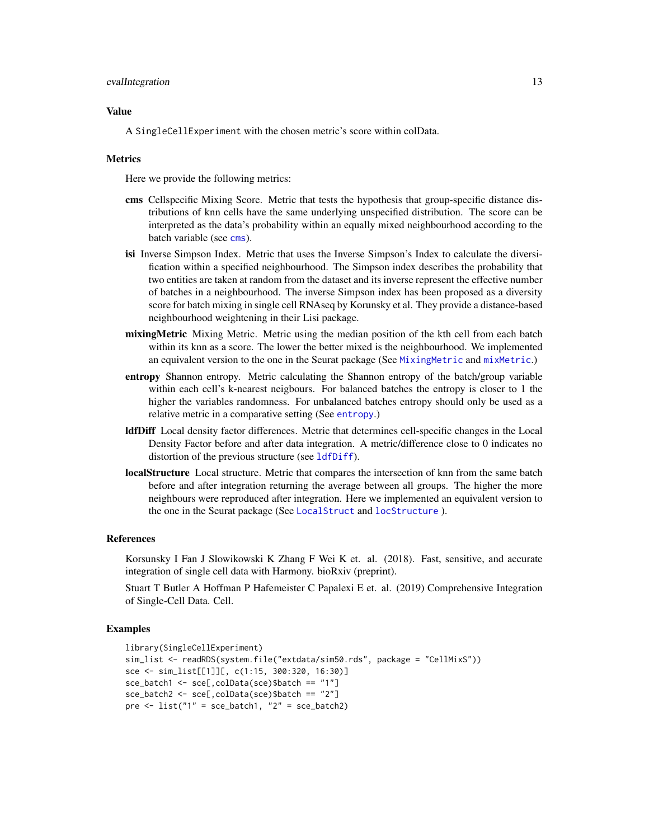#### <span id="page-12-0"></span>evalIntegration 13

#### Value

A SingleCellExperiment with the chosen metric's score within colData.

#### **Metrics**

Here we provide the following metrics:

- cms Cellspecific Mixing Score. Metric that tests the hypothesis that group-specific distance distributions of knn cells have the same underlying unspecified distribution. The score can be interpreted as the data's probability within an equally mixed neighbourhood according to the batch variable (see [cms](#page-7-1)).
- isi Inverse Simpson Index. Metric that uses the Inverse Simpson's Index to calculate the diversification within a specified neighbourhood. The Simpson index describes the probability that two entities are taken at random from the dataset and its inverse represent the effective number of batches in a neighbourhood. The inverse Simpson index has been proposed as a diversity score for batch mixing in single cell RNAseq by Korunsky et al. They provide a distance-based neighbourhood weightening in their Lisi package.
- mixingMetric Mixing Metric. Metric using the median position of the kth cell from each batch within its knn as a score. The lower the better mixed is the neighbourhood. We implemented an equivalent version to the one in the Seurat package (See [MixingMetric](#page-0-0) and [mixMetric](#page-19-1).)
- entropy Shannon entropy. Metric calculating the Shannon entropy of the batch/group variable within each cell's k-nearest neigbours. For balanced batches the entropy is closer to 1 the higher the variables randomness. For unbalanced batches entropy should only be used as a relative metric in a comparative setting (See [entropy](#page-9-1).)
- ldfDiff Local density factor differences. Metric that determines cell-specific changes in the Local Density Factor before and after data integration. A metric/difference close to 0 indicates no distortion of the previous structure (see [ldfDiff](#page-14-1)).
- localStructure Local structure. Metric that compares the intersection of knn from the same batch before and after integration returning the average between all groups. The higher the more neighbours were reproduced after integration. Here we implemented an equivalent version to the one in the Seurat package (See [LocalStruct](#page-0-0) and [locStructure](#page-18-1) ).

#### References

Korsunsky I Fan J Slowikowski K Zhang F Wei K et. al. (2018). Fast, sensitive, and accurate integration of single cell data with Harmony. bioRxiv (preprint).

Stuart T Butler A Hoffman P Hafemeister C Papalexi E et. al. (2019) Comprehensive Integration of Single-Cell Data. Cell.

## Examples

```
library(SingleCellExperiment)
sim_list <- readRDS(system.file("extdata/sim50.rds", package = "CellMixS"))
sce <- sim_list[[1]][, c(1:15, 300:320, 16:30)]
sce_batch1 <- sce[,colData(sce)$batch == "1"]
sce_batch2 <- sce[,colData(sce)$batch == "2"]
pre \le list("1" = sce_batch1, "2" = sce_batch2)
```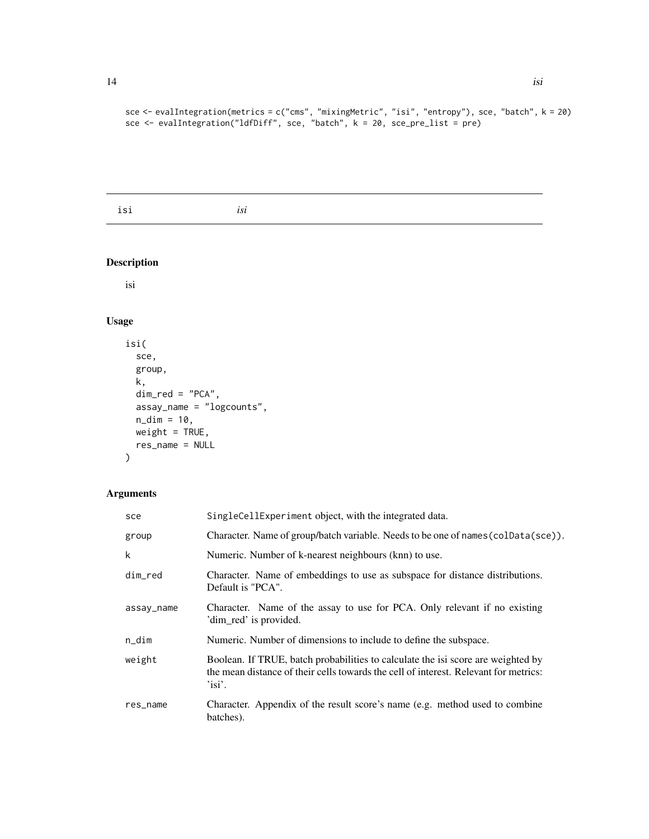<span id="page-13-0"></span>sce <- evalIntegration(metrics = c("cms", "mixingMetric", "isi", "entropy"), sce, "batch", k = 20) sce <- evalIntegration("ldfDiff", sce, "batch", k = 20, sce\_pre\_list = pre)

isi *isi*

## Description

isi

## Usage

```
isi(
  sce,
  group,
  k,
  dim\_red = "PCA",assay_name = "logcounts",
  n\_dim = 10,
  weight = TRUE,res_name = NULL
\mathcal{L}
```

| sce        | SingleCellExperiment object, with the integrated data.                                                                                                                                |
|------------|---------------------------------------------------------------------------------------------------------------------------------------------------------------------------------------|
| group      | Character. Name of group/batch variable. Needs to be one of names (colData(sce)).                                                                                                     |
| k          | Numeric. Number of k-nearest neighbours (knn) to use.                                                                                                                                 |
| dim red    | Character. Name of embeddings to use as subspace for distance distributions.<br>Default is "PCA".                                                                                     |
| assay_name | Character. Name of the assay to use for PCA. Only relevant if no existing<br>'dim_red' is provided.                                                                                   |
| $n\_dim$   | Numeric. Number of dimensions to include to define the subspace.                                                                                                                      |
| weight     | Boolean. If TRUE, batch probabilities to calculate the isi score are weighted by<br>the mean distance of their cells towards the cell of interest. Relevant for metrics:<br>$'$ isi'. |
| res_name   | Character. Appendix of the result score's name (e.g. method used to combine<br>batches).                                                                                              |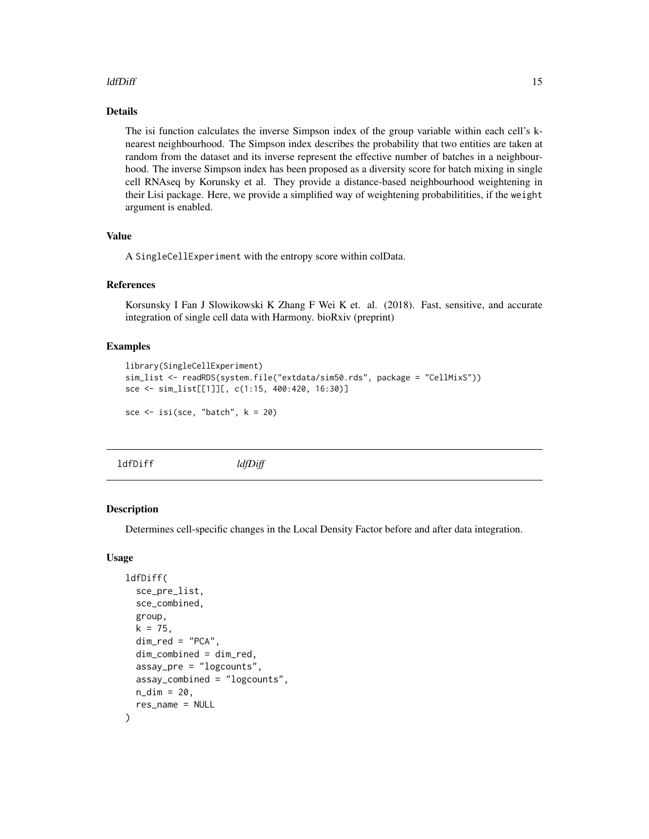## <span id="page-14-0"></span>ldfDiff 15

## Details

The isi function calculates the inverse Simpson index of the group variable within each cell's knearest neighbourhood. The Simpson index describes the probability that two entities are taken at random from the dataset and its inverse represent the effective number of batches in a neighbourhood. The inverse Simpson index has been proposed as a diversity score for batch mixing in single cell RNAseq by Korunsky et al. They provide a distance-based neighbourhood weightening in their Lisi package. Here, we provide a simplified way of weightening probabilitities, if the weight argument is enabled.

#### Value

A SingleCellExperiment with the entropy score within colData.

#### References

Korsunsky I Fan J Slowikowski K Zhang F Wei K et. al. (2018). Fast, sensitive, and accurate integration of single cell data with Harmony. bioRxiv (preprint)

#### Examples

```
library(SingleCellExperiment)
sim_list <- readRDS(system.file("extdata/sim50.rds", package = "CellMixS"))
sce <- sim_list[[1]][, c(1:15, 400:420, 16:30)]
sce \le isi(sce, "batch", k = 20)
```
<span id="page-14-1"></span>ldfDiff *ldfDiff*

#### **Description**

Determines cell-specific changes in the Local Density Factor before and after data integration.

#### Usage

```
ldfDiff(
  sce_pre_list,
  sce_combined,
  group,
  k = 75,
  dim_red = "PCA",
  dim_combined = dim_red,
  assay_pre = "logcounts",
  assay_combined = "logcounts",
 n\_dim = 20,
  res_name = NULL
)
```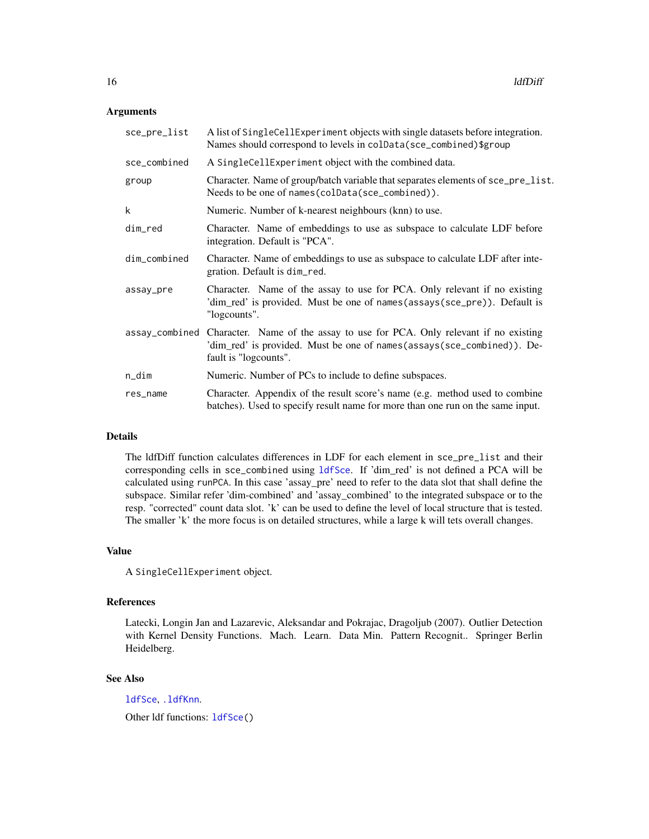#### <span id="page-15-0"></span>**Arguments**

| sce_pre_list | A list of SingleCellExperiment objects with single datasets before integration.<br>Names should correspond to levels in colData(sce_combined)\$group                                        |
|--------------|---------------------------------------------------------------------------------------------------------------------------------------------------------------------------------------------|
| sce_combined | A SingleCellExperiment object with the combined data.                                                                                                                                       |
| group        | Character. Name of group/batch variable that separates elements of sce_pre_list.<br>Needs to be one of names (colData (sce_combined)).                                                      |
| k            | Numeric. Number of k-nearest neighbours (knn) to use.                                                                                                                                       |
| dim_red      | Character. Name of embeddings to use as subspace to calculate LDF before<br>integration. Default is "PCA".                                                                                  |
| dim_combined | Character. Name of embeddings to use as subspace to calculate LDF after inte-<br>gration. Default is dim_red.                                                                               |
| assay_pre    | Character. Name of the assay to use for PCA. Only relevant if no existing<br>'dim_red' is provided. Must be one of names(assays(sce_pre)). Default is<br>"logcounts".                       |
|              | assay_combined Character. Name of the assay to use for PCA. Only relevant if no existing<br>'dim_red' is provided. Must be one of names(assays(sce_combined)). De-<br>fault is "logcounts". |
| n_dim        | Numeric. Number of PCs to include to define subspaces.                                                                                                                                      |
| res_name     | Character. Appendix of the result score's name (e.g. method used to combine<br>batches). Used to specify result name for more than one run on the same input.                               |

### Details

The ldfDiff function calculates differences in LDF for each element in sce\_pre\_list and their corresponding cells in sce\_combined using [ldfSce](#page-16-1). If 'dim\_red' is not defined a PCA will be calculated using runPCA. In this case 'assay\_pre' need to refer to the data slot that shall define the subspace. Similar refer 'dim-combined' and 'assay\_combined' to the integrated subspace or to the resp. "corrected" count data slot. 'k' can be used to define the level of local structure that is tested. The smaller 'k' the more focus is on detailed structures, while a large k will tets overall changes.

#### Value

A SingleCellExperiment object.

#### References

Latecki, Longin Jan and Lazarevic, Aleksandar and Pokrajac, Dragoljub (2007). Outlier Detection with Kernel Density Functions. Mach. Learn. Data Min. Pattern Recognit.. Springer Berlin Heidelberg.

#### See Also

[ldfSce](#page-16-1), [.ldfKnn](#page-5-1). Other ldf functions: [ldfSce\(](#page-16-1))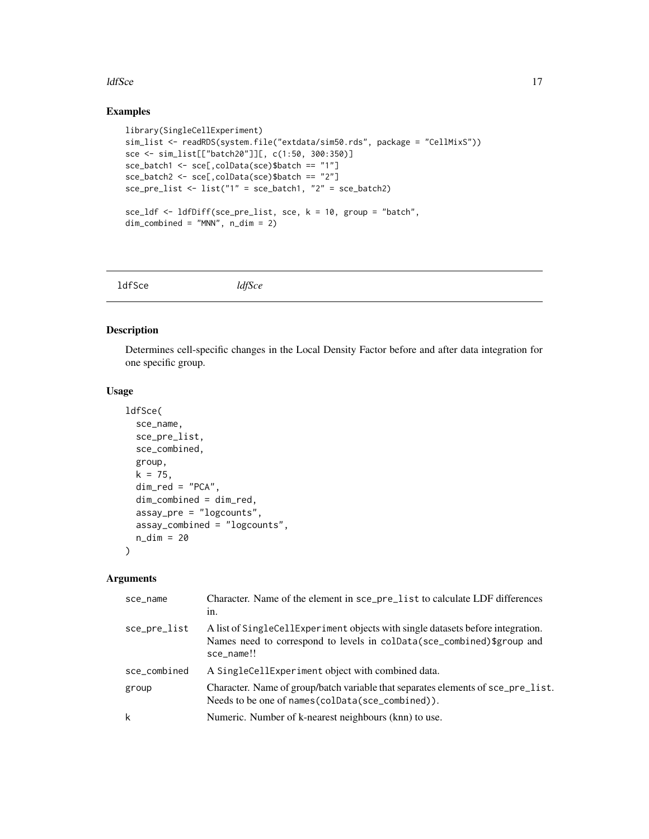#### <span id="page-16-0"></span>ldfSce and the state of the state of the state of the state of the state of the state of the state of the state of the state of the state of the state of the state of the state of the state of the state of the state of the

## Examples

```
library(SingleCellExperiment)
sim_list <- readRDS(system.file("extdata/sim50.rds", package = "CellMixS"))
sce <- sim_list[["batch20"]][, c(1:50, 300:350)]
sce_batch1 <- sce[,colData(sce)$batch == "1"]
sce_batch2 <- sce[,colData(sce)$batch == "2"]
sce_pre_list <- list("1" = sce_batch1, "2" = sce_batch2)
sce_ldf <- ldfDiff(sce_pre_list, sce, k = 10, group = "batch",
dim_combined = "MNN", n_dim = 2)
```
<span id="page-16-1"></span>

|--|

## Description

Determines cell-specific changes in the Local Density Factor before and after data integration for one specific group.

## Usage

```
ldfSce(
  sce_name,
  sce_pre_list,
  sce_combined,
  group,
 k = 75,
  dim_red = "PCA",
  dim_combined = dim_red,
  assay_pre = "logcounts",
  assay_combined = "logcounts",
 n_dim = 20
\mathcal{L}
```

| sce_name     | Character. Name of the element in sce_pre_list to calculate LDF differences<br>in.                                                                                      |
|--------------|-------------------------------------------------------------------------------------------------------------------------------------------------------------------------|
| sce_pre_list | A list of SingleCellExperiment objects with single datasets before integration.<br>Names need to correspond to levels in colData(sce_combined)\$group and<br>sce_name!! |
| sce_combined | A SingleCellExperiment object with combined data.                                                                                                                       |
| group        | Character. Name of group/batch variable that separates elements of sce_pre_list.<br>Needs to be one of names (colData (sce_combined)).                                  |
| k            | Numeric. Number of k-nearest neighbours (knn) to use.                                                                                                                   |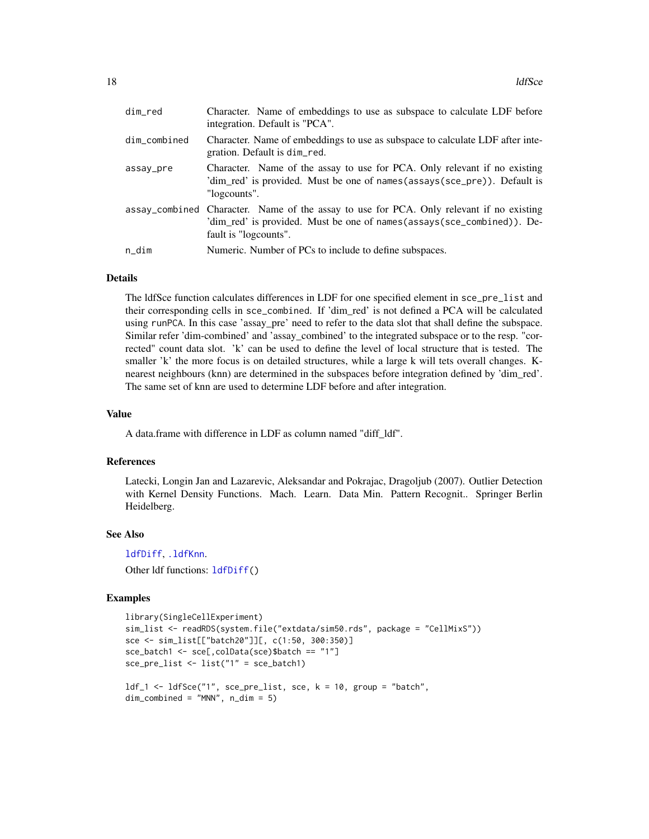<span id="page-17-0"></span>

| dim_red      | Character. Name of embeddings to use as subspace to calculate LDF before<br>integration. Default is "PCA".                                                                                  |
|--------------|---------------------------------------------------------------------------------------------------------------------------------------------------------------------------------------------|
| dim_combined | Character. Name of embeddings to use as subspace to calculate LDF after inte-<br>gration. Default is dim_red.                                                                               |
| assay_pre    | Character. Name of the assay to use for PCA. Only relevant if no existing<br>'dim_red' is provided. Must be one of names(assays(sce_pre)). Default is<br>"logcounts".                       |
|              | assay_combined Character. Name of the assay to use for PCA. Only relevant if no existing<br>'dim_red' is provided. Must be one of names(assays(sce_combined)). De-<br>fault is "logcounts". |
| $n\_dim$     | Numeric. Number of PCs to include to define subspaces.                                                                                                                                      |

The ldfSce function calculates differences in LDF for one specified element in sce\_pre\_list and their corresponding cells in sce\_combined. If 'dim\_red' is not defined a PCA will be calculated using runPCA. In this case 'assay\_pre' need to refer to the data slot that shall define the subspace. Similar refer 'dim-combined' and 'assay\_combined' to the integrated subspace or to the resp. "corrected" count data slot. 'k' can be used to define the level of local structure that is tested. The smaller 'k' the more focus is on detailed structures, while a large k will tets overall changes. Knearest neighbours (knn) are determined in the subspaces before integration defined by 'dim\_red'. The same set of knn are used to determine LDF before and after integration.

#### Value

A data.frame with difference in LDF as column named "diff\_ldf".

#### References

Latecki, Longin Jan and Lazarevic, Aleksandar and Pokrajac, Dragoljub (2007). Outlier Detection with Kernel Density Functions. Mach. Learn. Data Min. Pattern Recognit.. Springer Berlin Heidelberg.

#### See Also

[ldfDiff](#page-14-1), [.ldfKnn](#page-5-1).

Other ldf functions: [ldfDiff\(](#page-14-1))

#### Examples

```
library(SingleCellExperiment)
sim_list <- readRDS(system.file("extdata/sim50.rds", package = "CellMixS"))
sce <- sim_list[["batch20"]][, c(1:50, 300:350)]
sce_batch1 <- sce[,colData(sce)$batch == "1"]
sce_pre_list <- list("1" = sce_batch1)
ldf_1 <- ldfSce("1", sce_pre_list, sce, k = 10, group = "batch",
dim_combined = "MNN", n_dim = 5)
```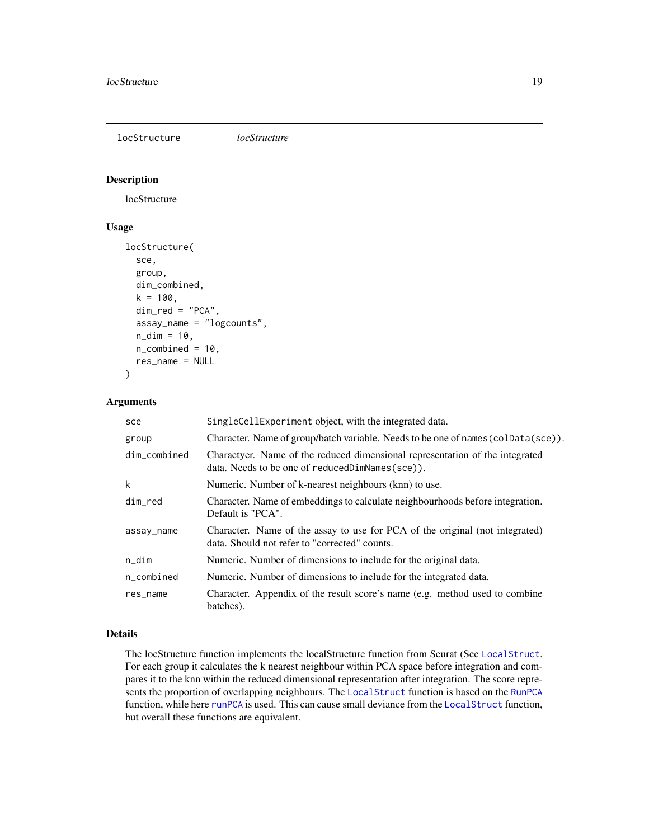<span id="page-18-1"></span><span id="page-18-0"></span>locStructure *locStructure*

#### Description

locStructure

## Usage

```
locStructure(
  sce,
  group,
  dim_combined,
  k = 100,
  dim\_red = "PCA",assay_name = "logcounts",
  n\_dim = 10,
  n_{\text{combined}} = 10,
  res_name = NULL
\mathcal{L}
```
## Arguments

| sce          | SingleCellExperiment object, with the integrated data.                                                                            |
|--------------|-----------------------------------------------------------------------------------------------------------------------------------|
| group        | Character. Name of group/batch variable. Needs to be one of names (colData(sce)).                                                 |
| dim_combined | Charactyer. Name of the reduced dimensional representation of the integrated<br>data. Needs to be one of reduced DimNames (sce)). |
| k            | Numeric. Number of k-nearest neighbours (knn) to use.                                                                             |
| dim red      | Character. Name of embeddings to calculate neighbourhoods before integration.<br>Default is "PCA".                                |
| assay_name   | Character. Name of the assay to use for PCA of the original (not integrated)<br>data. Should not refer to "corrected" counts.     |
| n_dim        | Numeric. Number of dimensions to include for the original data.                                                                   |
| n_combined   | Numeric. Number of dimensions to include for the integrated data.                                                                 |
| res_name     | Character. Appendix of the result score's name (e.g. method used to combine<br>batches).                                          |

## Details

The locStructure function implements the localStructure function from Seurat (See [LocalStruct](#page-0-0). For each group it calculates the k nearest neighbour within PCA space before integration and compares it to the knn within the reduced dimensional representation after integration. The score represents the proportion of overlapping neighbours. The [LocalStruct](#page-0-0) function is based on the [RunPCA](#page-0-0) function, while here [runPCA](#page-0-0) is used. This can cause small deviance from the [LocalStruct](#page-0-0) function, but overall these functions are equivalent.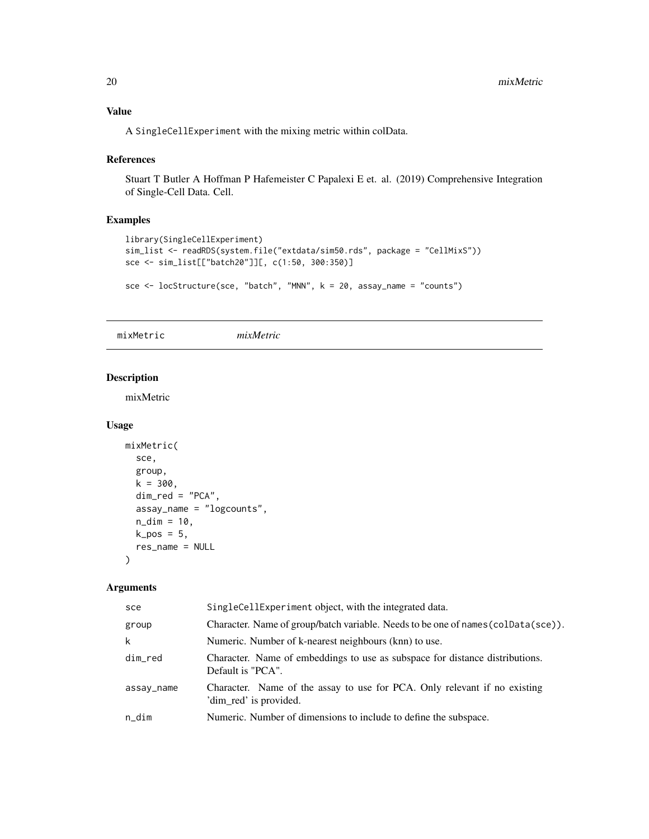## <span id="page-19-0"></span>Value

A SingleCellExperiment with the mixing metric within colData.

#### References

Stuart T Butler A Hoffman P Hafemeister C Papalexi E et. al. (2019) Comprehensive Integration of Single-Cell Data. Cell.

## Examples

```
library(SingleCellExperiment)
sim_list <- readRDS(system.file("extdata/sim50.rds", package = "CellMixS"))
sce <- sim_list[["batch20"]][, c(1:50, 300:350)]
```

```
sce <- locStructure(sce, "batch", "MNN", k = 20, assay_name = "counts")
```
<span id="page-19-1"></span>mixMetric *mixMetric*

#### Description

mixMetric

#### Usage

```
mixMetric(
  sce,
  group,
 k = 300,dim\_red = "PCA",assay_name = "logcounts",
 n\_dim = 10,
 k_pos = 5,
  res_name = NULL
)
```

| sce        | SingleCellExperiment object, with the integrated data.                                              |
|------------|-----------------------------------------------------------------------------------------------------|
| group      | Character. Name of group/batch variable. Needs to be one of names (colData(sce)).                   |
| k          | Numeric. Number of k-nearest neighbours (knn) to use.                                               |
| dim_red    | Character. Name of embeddings to use as subspace for distance distributions.<br>Default is "PCA".   |
| assay_name | Character. Name of the assay to use for PCA. Only relevant if no existing<br>'dim_red' is provided. |
| $n\_dim$   | Numeric. Number of dimensions to include to define the subspace.                                    |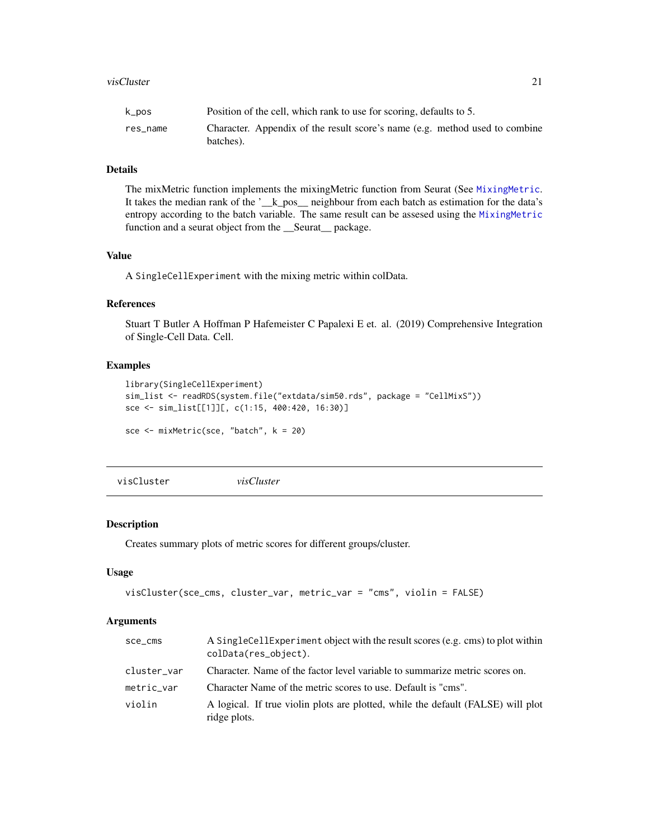<span id="page-20-0"></span>The mixMetric function implements the mixingMetric function from Seurat (See [MixingMetric](#page-0-0). It takes the median rank of the '\_\_k\_pos\_\_ neighbour from each batch as estimation for the data's entropy according to the batch variable. The same result can be assesed using the [MixingMetric](#page-0-0) function and a seurat object from the \_\_Seurat\_\_ package.

#### Value

A SingleCellExperiment with the mixing metric within colData.

#### References

Stuart T Butler A Hoffman P Hafemeister C Papalexi E et. al. (2019) Comprehensive Integration of Single-Cell Data. Cell.

#### Examples

```
library(SingleCellExperiment)
sim_list <- readRDS(system.file("extdata/sim50.rds", package = "CellMixS"))
sce <- sim_list[[1]][, c(1:15, 400:420, 16:30)]
sce <- mixMetric(sce, "batch", k = 20)
```
<span id="page-20-1"></span>visCluster *visCluster*

#### Description

Creates summary plots of metric scores for different groups/cluster.

#### Usage

```
visCluster(sce_cms, cluster_var, metric_var = "cms", violin = FALSE)
```

| sce_cms     | A Single Cell Experiment object with the result scores (e.g. cms) to plot within<br>colData(res_object). |
|-------------|----------------------------------------------------------------------------------------------------------|
| cluster_var | Character. Name of the factor level variable to summarize metric scores on.                              |
| metric_var  | Character Name of the metric scores to use. Default is "cms".                                            |
| violin      | A logical. If true violin plots are plotted, while the default (FALSE) will plot<br>ridge plots.         |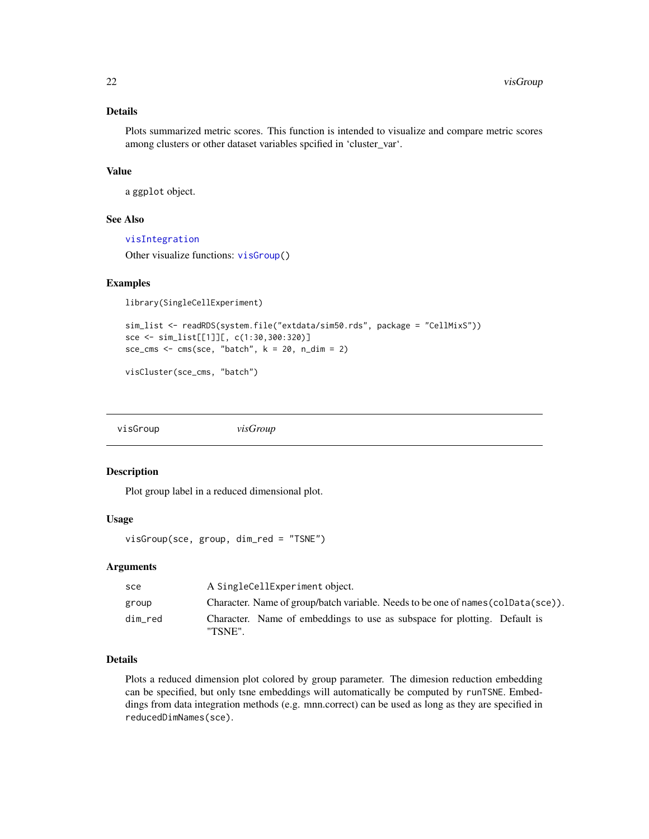Plots summarized metric scores. This function is intended to visualize and compare metric scores among clusters or other dataset variables spcified in 'cluster\_var'.

### Value

a ggplot object.

#### See Also

[visIntegration](#page-23-1)

Other visualize functions: [visGroup\(](#page-21-1))

#### Examples

library(SingleCellExperiment)

```
sim_list <- readRDS(system.file("extdata/sim50.rds", package = "CellMixS"))
sce <- sim_list[[1]][, c(1:30,300:320)]
sce_cms <- cms(sce, "batch", k = 20, n_dim = 2)
```
visCluster(sce\_cms, "batch")

<span id="page-21-1"></span>visGroup *visGroup*

## Description

Plot group label in a reduced dimensional plot.

## Usage

visGroup(sce, group, dim\_red = "TSNE")

#### Arguments

| sce     | A SingleCellExperiment object.                                                       |
|---------|--------------------------------------------------------------------------------------|
| group   | Character. Name of group/batch variable. Needs to be one of names (coldata (sce)).   |
| dim red | Character. Name of embeddings to use as subspace for plotting. Default is<br>"TSNE". |

## Details

Plots a reduced dimension plot colored by group parameter. The dimesion reduction embedding can be specified, but only tsne embeddings will automatically be computed by runTSNE. Embeddings from data integration methods (e.g. mnn.correct) can be used as long as they are specified in reducedDimNames(sce).

<span id="page-21-0"></span>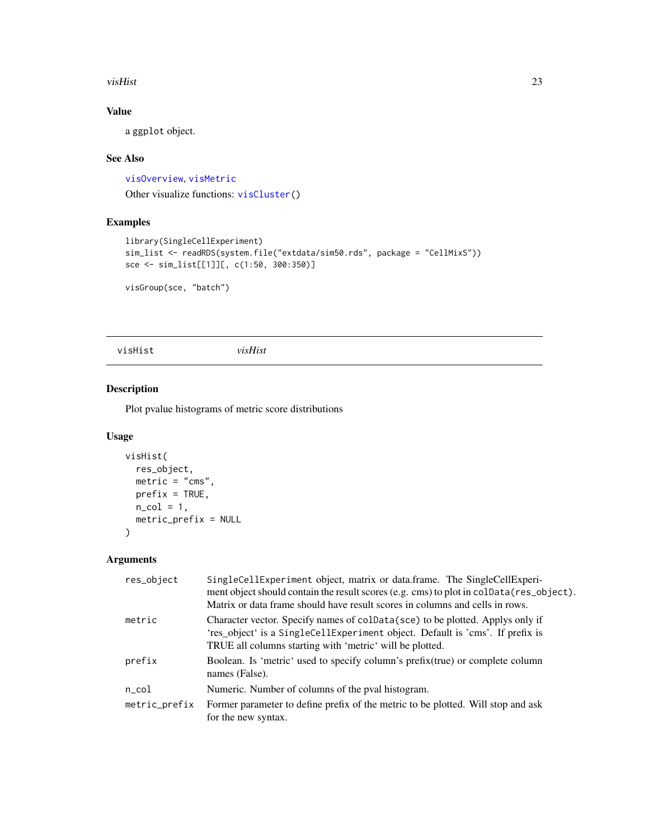#### <span id="page-22-0"></span>visHist 23

## Value

a ggplot object.

## See Also

[visOverview](#page-25-1), [visMetric](#page-24-1)

Other visualize functions: [visCluster\(](#page-20-1))

## Examples

```
library(SingleCellExperiment)
sim_list <- readRDS(system.file("extdata/sim50.rds", package = "CellMixS"))
sce <- sim_list[[1]][, c(1:50, 300:350)]
```
visGroup(sce, "batch")

<span id="page-22-1"></span>visHist *visHist*

## Description

Plot pvalue histograms of metric score distributions

## Usage

```
visHist(
  res_object,
  metric = "cms",prefix = TRUE,n_{col} = 1,
  metric_prefix = NULL
\mathcal{L}
```

| res_object    | SingleCellExperiment object, matrix or data.frame. The SingleCellExperi-<br>ment object should contain the result scores (e.g. cms) to plot in colData(res_object).<br>Matrix or data frame should have result scores in columns and cells in rows. |
|---------------|-----------------------------------------------------------------------------------------------------------------------------------------------------------------------------------------------------------------------------------------------------|
| metric        | Character vector. Specify names of coldara (sce) to be plotted. Applys only if<br>'res_object' is a SingleCellExperiment object. Default is 'cms'. If prefix is<br>TRUE all columns starting with 'metric' will be plotted.                         |
| prefix        | Boolean. Is 'metric' used to specify column's prefix (true) or complete column<br>names (False).                                                                                                                                                    |
| $n\_{col}$    | Numeric. Number of columns of the pval histogram.                                                                                                                                                                                                   |
| metric_prefix | Former parameter to define prefix of the metric to be plotted. Will stop and ask<br>for the new syntax.                                                                                                                                             |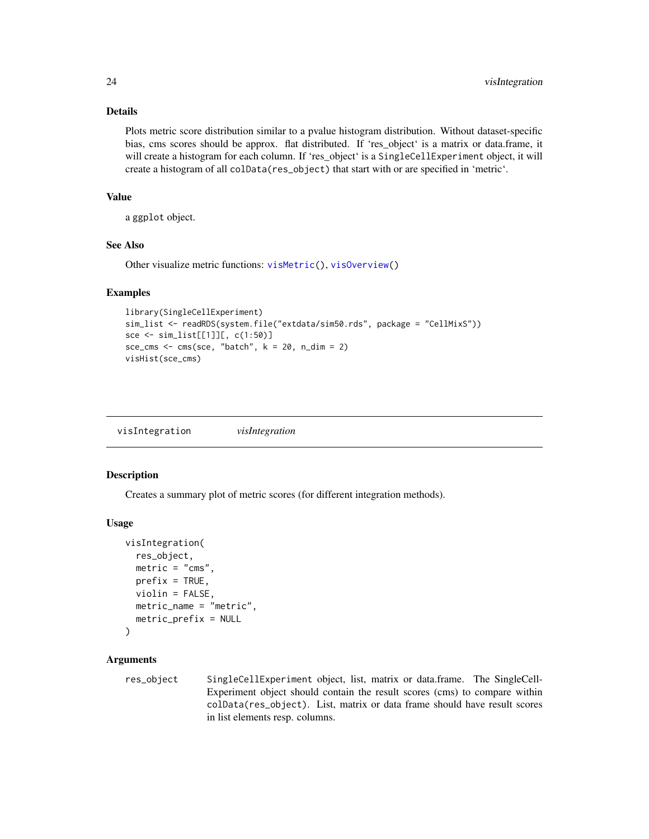Plots metric score distribution similar to a pvalue histogram distribution. Without dataset-specific bias, cms scores should be approx. flat distributed. If 'res\_object' is a matrix or data.frame, it will create a histogram for each column. If 'res\_object' is a SingleCellExperiment object, it will create a histogram of all colData(res\_object) that start with or are specified in 'metric'.

## Value

a ggplot object.

#### See Also

Other visualize metric functions: [visMetric\(](#page-24-1)), [visOverview\(](#page-25-1))

#### Examples

```
library(SingleCellExperiment)
sim_list <- readRDS(system.file("extdata/sim50.rds", package = "CellMixS"))
sce <- sim_list[[1]][, c(1:50)]
sce_cms \leq - cms(sce, "batch", k = 20, n_dim = 2)
visHist(sce_cms)
```
<span id="page-23-1"></span>visIntegration *visIntegration*

#### Description

Creates a summary plot of metric scores (for different integration methods).

## Usage

```
visIntegration(
  res_object,
  metric = "cms".prefix = TRUE,violin = FALSE,
 metric_name = "metric",
  metric_prefix = NULL
)
```

```
res_object SingleCellExperiment object, list, matrix or data.frame. The SingleCell-
                 Experiment object should contain the result scores (cms) to compare within
                 colData(res_object). List, matrix or data frame should have result scores
                 in list elements resp. columns.
```
<span id="page-23-0"></span>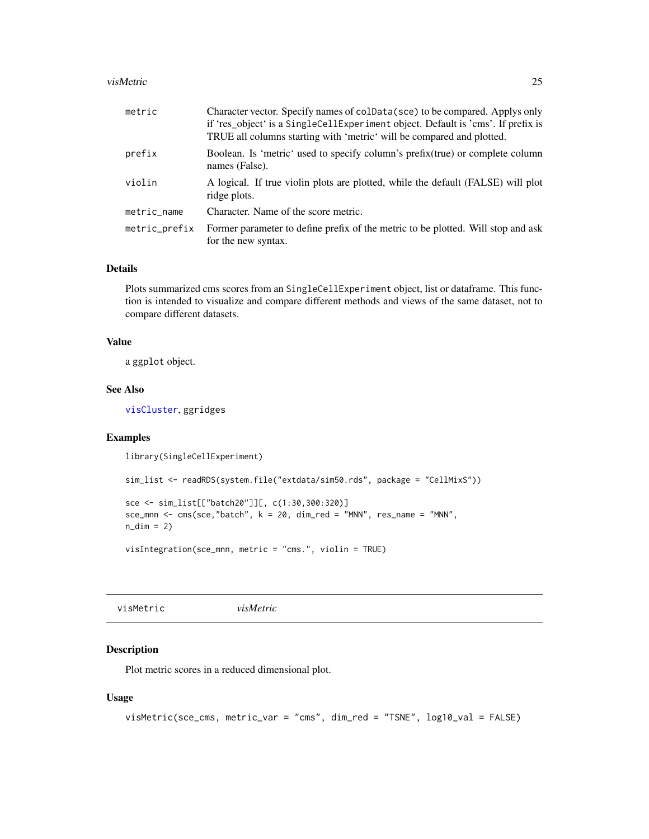#### <span id="page-24-0"></span>visMetric 25

| metric        | Character vector. Specify names of coldata (sce) to be compared. Applys only<br>if 'res object' is a SingleCellExperiment object. Default is 'cms'. If prefix is<br>TRUE all columns starting with 'metric' will be compared and plotted. |
|---------------|-------------------------------------------------------------------------------------------------------------------------------------------------------------------------------------------------------------------------------------------|
| prefix        | Boolean. Is 'metric' used to specify column's prefix (true) or complete column<br>names (False).                                                                                                                                          |
| violin        | A logical. If true violin plots are plotted, while the default (FALSE) will plot<br>ridge plots.                                                                                                                                          |
| metric_name   | Character. Name of the score metric.                                                                                                                                                                                                      |
| metric_prefix | Former parameter to define prefix of the metric to be plotted. Will stop and ask<br>for the new syntax.                                                                                                                                   |

#### Details

Plots summarized cms scores from an SingleCellExperiment object, list or dataframe. This function is intended to visualize and compare different methods and views of the same dataset, not to compare different datasets.

#### Value

a ggplot object.

## See Also

[visCluster](#page-20-1), ggridges

## Examples

library(SingleCellExperiment)

```
sim_list <- readRDS(system.file("extdata/sim50.rds", package = "CellMixS"))
```

```
sce <- sim_list[["batch20"]][, c(1:30,300:320)]
\text{sec\_mm} < -\text{cms}(\text{see}, \text{"batch", k = 20}, \text{dim\_red = "MNN", \text{res\_name = "MNN", }n\_dim = 2
```
visIntegration(sce\_mnn, metric = "cms.", violin = TRUE)

<span id="page-24-1"></span>visMetric *visMetric*

## Description

Plot metric scores in a reduced dimensional plot.

#### Usage

```
visMetric(sce_cms, metric_var = "cms", dim_red = "TSNE", log10_val = FALSE)
```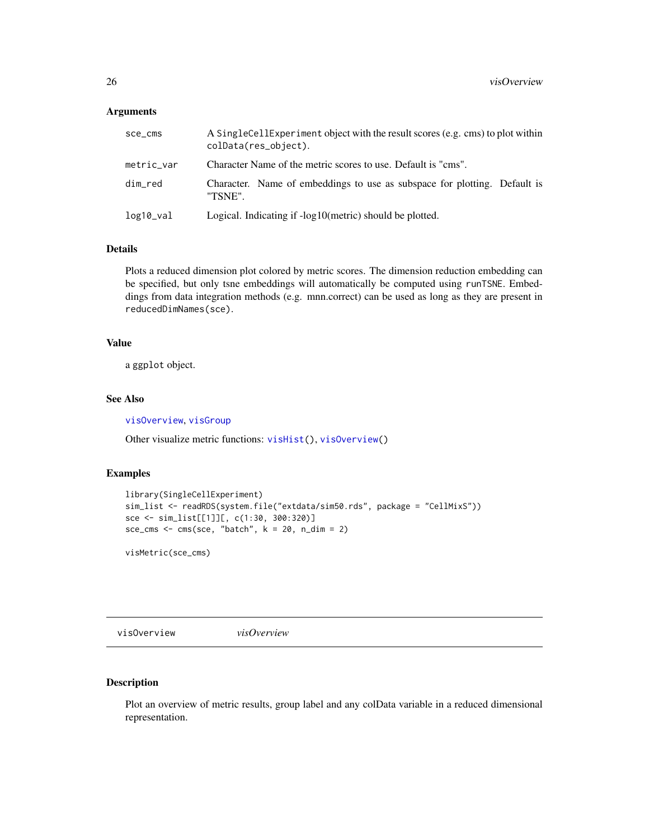#### <span id="page-25-0"></span>Arguments

| sce_cms    | A SingleCellExperiment object with the result scores (e.g. cms) to plot within<br>colData(res_object). |
|------------|--------------------------------------------------------------------------------------------------------|
| metric_var | Character Name of the metric scores to use. Default is "cms".                                          |
| dim_red    | Character. Name of embeddings to use as subspace for plotting. Default is<br>"TSNE".                   |
| log10_val  | Logical. Indicating if -log10(metric) should be plotted.                                               |

#### Details

Plots a reduced dimension plot colored by metric scores. The dimension reduction embedding can be specified, but only tsne embeddings will automatically be computed using runTSNE. Embeddings from data integration methods (e.g. mnn.correct) can be used as long as they are present in reducedDimNames(sce).

#### Value

a ggplot object.

## See Also

[visOverview](#page-25-1), [visGroup](#page-21-1)

Other visualize metric functions: [visHist\(](#page-22-1)), [visOverview\(](#page-25-1))

## Examples

```
library(SingleCellExperiment)
sim_list <- readRDS(system.file("extdata/sim50.rds", package = "CellMixS"))
sce <- sim_list[[1]][, c(1:30, 300:320)]
sce_cms <- \text{cms}(\text{see}, \text{ "batch", } k = 20, \text{ n\_dim} = 2)
```
visMetric(sce\_cms)

<span id="page-25-1"></span>visOverview *visOverview*

## Description

Plot an overview of metric results, group label and any colData variable in a reduced dimensional representation.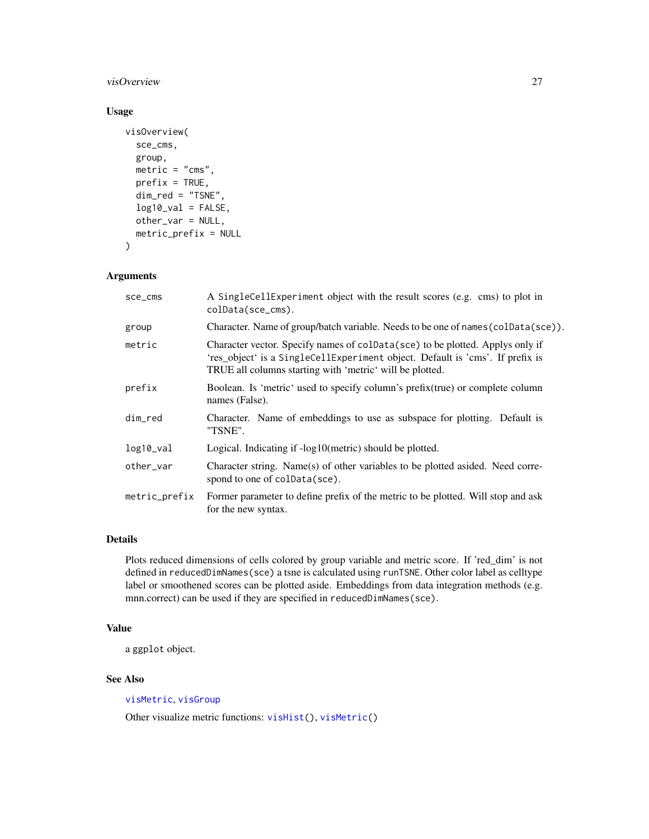## <span id="page-26-0"></span>visOverview 27

## Usage

```
visOverview(
  sce_cms,
  group,
 metric = "cms",prefix = TRUE,dim_red = "TSNE",
  log10_val = FALSE,
  other_var = NULL,
 metric_prefix = NULL
\lambda
```
#### Arguments

| sce_cms       | A SingleCellExperiment object with the result scores (e.g. cms) to plot in<br>colData(sce_cms).                                                                                                                            |
|---------------|----------------------------------------------------------------------------------------------------------------------------------------------------------------------------------------------------------------------------|
| group         | Character. Name of group/batch variable. Needs to be one of names (colData(sce)).                                                                                                                                          |
| metric        | Character vector. Specify names of colData(sce) to be plotted. Applys only if<br>'res_object' is a SingleCellExperiment object. Default is 'cms'. If prefix is<br>TRUE all columns starting with 'metric' will be plotted. |
| prefix        | Boolean. Is 'metric' used to specify column's prefix (true) or complete column<br>names (False).                                                                                                                           |
| dim_red       | Character. Name of embeddings to use as subspace for plotting. Default is<br>"TSNE".                                                                                                                                       |
| log10_val     | Logical. Indicating if -log10(metric) should be plotted.                                                                                                                                                                   |
| other_var     | Character string. Name(s) of other variables to be plotted asided. Need corre-<br>spond to one of colData(sce).                                                                                                            |
| metric_prefix | Former parameter to define prefix of the metric to be plotted. Will stop and ask<br>for the new syntax.                                                                                                                    |
|               |                                                                                                                                                                                                                            |

## Details

Plots reduced dimensions of cells colored by group variable and metric score. If 'red\_dim' is not defined in reducedDimNames(sce) a tsne is calculated using runTSNE. Other color label as celltype label or smoothened scores can be plotted aside. Embeddings from data integration methods (e.g. mnn.correct) can be used if they are specified in reducedDimNames(sce).

## Value

a ggplot object.

## See Also

[visMetric](#page-24-1), [visGroup](#page-21-1)

Other visualize metric functions: [visHist\(](#page-22-1)), [visMetric\(](#page-24-1))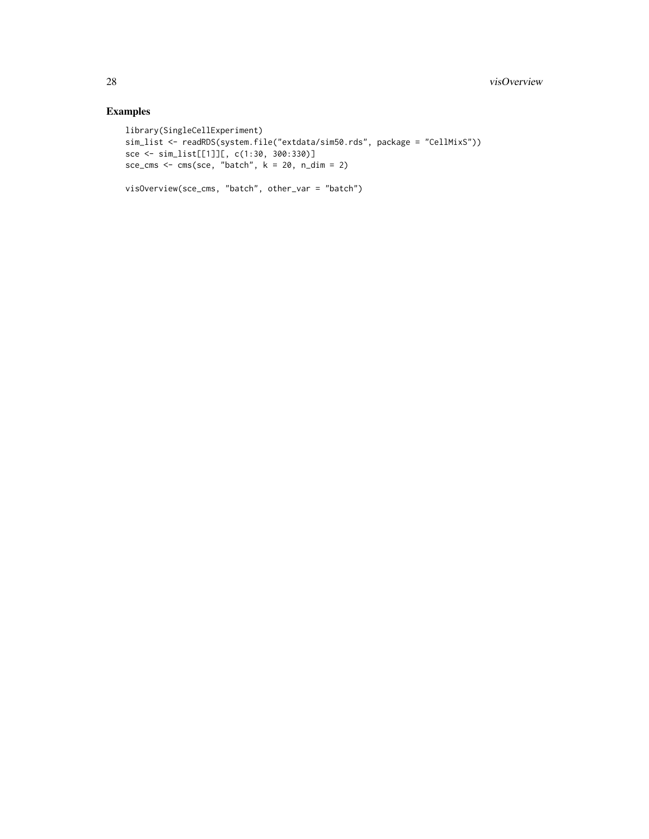## Examples

```
library(SingleCellExperiment)
sim_list <- readRDS(system.file("extdata/sim50.rds", package = "CellMixS"))
sce <- sim_list[[1]][, c(1:30, 300:330)]
sce_cms <- cms(sce, "batch", k = 20, n_dim = 2)
```

```
visOverview(sce_cms, "batch", other_var = "batch")
```